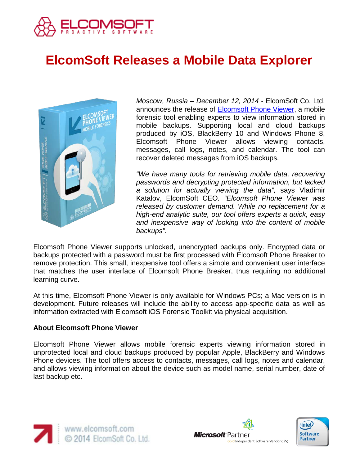

## **ElcomSoft Releases a Mobile Data Explorer**



*Moscow, Russia – December 12, 2014 -* ElcomSoft Co. Ltd. announces the release of [Elcomsoft Phone Viewer,](http://www.elcomsoft.com/epv.html) a mobile forensic tool enabling experts to view information stored in mobile backups. Supporting local and cloud backups produced by iOS, BlackBerry 10 and Windows Phone 8, Elcomsoft Phone Viewer allows viewing contacts, messages, call logs, notes, and calendar. The tool can recover deleted messages from iOS backups.

*"We have many tools for retrieving mobile data, recovering passwords and decrypting protected information, but lacked a solution for actually viewing the data",* says Vladimir Katalov, ElcomSoft CEO*. "Elcomsoft Phone Viewer was released by customer demand. While no replacement for a high-end analytic suite, our tool offers experts a quick, easy and inexpensive way of looking into the content of mobile backups".*

Elcomsoft Phone Viewer supports unlocked, unencrypted backups only. Encrypted data or backups protected with a password must be first processed with Elcomsoft Phone Breaker to remove protection. This small, inexpensive tool offers a simple and convenient user interface that matches the user interface of Elcomsoft Phone Breaker, thus requiring no additional learning curve.

At this time, Elcomsoft Phone Viewer is only available for Windows PCs; a Mac version is in development. Future releases will include the ability to access app-specific data as well as information extracted with Elcomsoft iOS Forensic Toolkit via physical acquisition.

## **About Elcomsoft Phone Viewer**

Elcomsoft Phone Viewer allows mobile forensic experts viewing information stored in unprotected local and cloud backups produced by popular Apple, BlackBerry and Windows Phone devices. The tool offers access to contacts, messages, call logs, notes and calendar, and allows viewing information about the device such as model name, serial number, date of last backup etc.